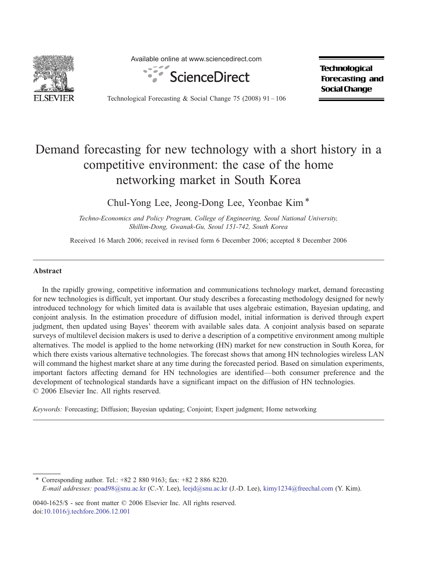

Available online at www.sciencedirect.com



Technological Forecasting & Social Change 75 (2008) 91–106

**Technological Forecasting and Social Change** 

## Demand forecasting for new technology with a short history in a competitive environment: the case of the home networking market in South Korea

Chul-Yong Lee, Jeong-Dong Lee, Yeonbae Kim<sup>\*</sup>

Techno-Economics and Policy Program, College of Engineering, Seoul National University, Shillim-Dong, Gwanak-Gu, Seoul 151-742, South Korea

Received 16 March 2006; received in revised form 6 December 2006; accepted 8 December 2006

## Abstract

In the rapidly growing, competitive information and communications technology market, demand forecasting for new technologies is difficult, yet important. Our study describes a forecasting methodology designed for newly introduced technology for which limited data is available that uses algebraic estimation, Bayesian updating, and conjoint analysis. In the estimation procedure of diffusion model, initial information is derived through expert judgment, then updated using Bayes' theorem with available sales data. A conjoint analysis based on separate surveys of multilevel decision makers is used to derive a description of a competitive environment among multiple alternatives. The model is applied to the home networking (HN) market for new construction in South Korea, for which there exists various alternative technologies. The forecast shows that among HN technologies wireless LAN will command the highest market share at any time during the forecasted period. Based on simulation experiments, important factors affecting demand for HN technologies are identified—both consumer preference and the development of technological standards have a significant impact on the diffusion of HN technologies. © 2006 Elsevier Inc. All rights reserved.

Keywords: Forecasting; Diffusion; Bayesian updating; Conjoint; Expert judgment; Home networking

0040-1625/\$ - see front matter © 2006 Elsevier Inc. All rights reserved. doi[:10.1016/j.techfore.2006.12.001](http://dx.doi.org/10.1016/j.techfore.2006.12.001)

<sup>⁎</sup> Corresponding author. Tel.: +82 2 880 9163; fax: +82 2 886 8220. E-mail addresses: [poad98@snu.ac.kr](mailto:poad98@snu.ac.kr) (C.-Y. Lee), [leejd@snu.ac.kr](mailto:leejd@snu.ac.kr) (J.-D. Lee), [kimy1234@freechal.com](mailto:kimy1234@freechal.com) (Y. Kim).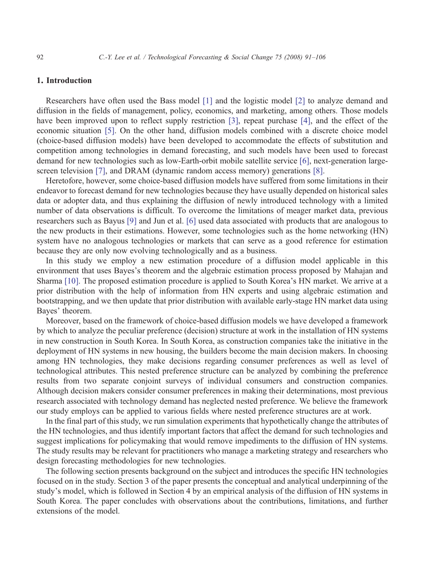## 1. Introduction

Researchers have often used the Bass model [\[1\]](#page--1-0) and the logistic model [\[2\]](#page--1-0) to analyze demand and diffusion in the fields of management, policy, economics, and marketing, among others. Those models have been improved upon to reflect supply restriction [\[3\]](#page--1-0), repeat purchase [\[4\],](#page--1-0) and the effect of the economic situation [\[5\]](#page--1-0). On the other hand, diffusion models combined with a discrete choice model (choice-based diffusion models) have been developed to accommodate the effects of substitution and competition among technologies in demand forecasting, and such models have been used to forecast demand for new technologies such as low-Earth-orbit mobile satellite service [\[6\]](#page--1-0), next-generation large-screen television [\[7\]](#page--1-0), and DRAM (dynamic random access memory) generations [\[8\].](#page--1-0)

Heretofore, however, some choice-based diffusion models have suffered from some limitations in their endeavor to forecast demand for new technologies because they have usually depended on historical sales data or adopter data, and thus explaining the diffusion of newly introduced technology with a limited number of data observations is difficult. To overcome the limitations of meager market data, previous researchers such as Bayus [\[9\]](#page--1-0) and Jun et al. [\[6\]](#page--1-0) used data associated with products that are analogous to the new products in their estimations. However, some technologies such as the home networking (HN) system have no analogous technologies or markets that can serve as a good reference for estimation because they are only now evolving technologically and as a business.

In this study we employ a new estimation procedure of a diffusion model applicable in this environment that uses Bayes's theorem and the algebraic estimation process proposed by Mahajan and Sharma [\[10\]](#page--1-0). The proposed estimation procedure is applied to South Korea's HN market. We arrive at a prior distribution with the help of information from HN experts and using algebraic estimation and bootstrapping, and we then update that prior distribution with available early-stage HN market data using Bayes' theorem.

Moreover, based on the framework of choice-based diffusion models we have developed a framework by which to analyze the peculiar preference (decision) structure at work in the installation of HN systems in new construction in South Korea. In South Korea, as construction companies take the initiative in the deployment of HN systems in new housing, the builders become the main decision makers. In choosing among HN technologies, they make decisions regarding consumer preferences as well as level of technological attributes. This nested preference structure can be analyzed by combining the preference results from two separate conjoint surveys of individual consumers and construction companies. Although decision makers consider consumer preferences in making their determinations, most previous research associated with technology demand has neglected nested preference. We believe the framework our study employs can be applied to various fields where nested preference structures are at work.

In the final part of this study, we run simulation experiments that hypothetically change the attributes of the HN technologies, and thus identify important factors that affect the demand for such technologies and suggest implications for policymaking that would remove impediments to the diffusion of HN systems. The study results may be relevant for practitioners who manage a marketing strategy and researchers who design forecasting methodologies for new technologies.

The following section presents background on the subject and introduces the specific HN technologies focused on in the study. Section 3 of the paper presents the conceptual and analytical underpinning of the study's model, which is followed in Section 4 by an empirical analysis of the diffusion of HN systems in South Korea. The paper concludes with observations about the contributions, limitations, and further extensions of the model.